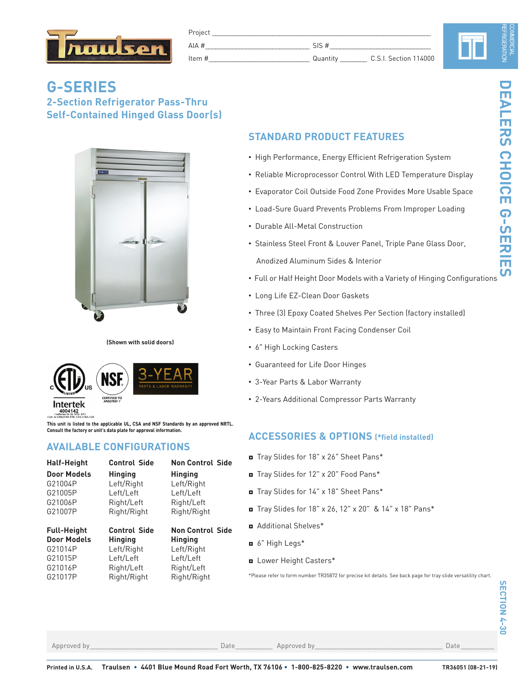

| 'roject   |                    |                       |
|-----------|--------------------|-----------------------|
| $A$ $\mu$ |                    |                       |
| Item $#$  | 'Juar<br>_________ | C.S.I. Section 114000 |

# **G-SERIES 2-Section Refrigerator Pass-Thru Self-Contained Hinged Glass Door(s)**



**(Shown with solid doors)**



**This unit is listed to the applicable UL, CSA and NSF Standards by an approved NRTL. Consult the factory or unit's data plate for approval information.**

# **AVAILABLE CONFIGURATIONS**

| <b>Half-Height</b> | <b>Control Side</b> | <b>Non Control Side</b> |
|--------------------|---------------------|-------------------------|
| <b>Door Models</b> | <b>Hinging</b>      | <b>Hinging</b>          |
| G21004P            | Left/Right          | Left/Right              |
| G21005P            | Left/Left           | Left/Left               |
| G21006P            | Right/Left          | Right/Left              |
| G21007P            | Right/Right         | Right/Right             |
| <b>Full-Height</b> | <b>Control Side</b> | <b>Non Control Side</b> |
| <b>Door Models</b> | <b>Hinging</b>      | <b>Hinging</b>          |
| G21014P            | Left/Right          | Left/Right              |

# **STANDARD PRODUCT FEATURES**

- High Performance, Energy Efficient Refrigeration System
- Reliable Microprocessor Control With LED Temperature Display
- Evaporator Coil Outside Food Zone Provides More Usable Space
- Load-Sure Guard Prevents Problems From Improper Loading
- Durable All-Metal Construction
- Stainless Steel Front & Louver Panel, Triple Pane Glass Door, Anodized Aluminum Sides & Interior
- Full or Half Height Door Models with a Variety of Hinging Configurations
- Long Life EZ-Clean Door Gaskets
- Three (3) Epoxy Coated Shelves Per Section (factory installed)
- Easy to Maintain Front Facing Condenser Coil
- 6" High Locking Casters
- Guaranteed for Life Door Hinges
- 3-Year Parts & Labor Warranty
- 2-Years Additional Compressor Parts Warranty

# **ACCESSORIES & OPTIONS (\*field installed)**

- ◘ Tray Slides for 18" x 26" Sheet Pans\*
- ◘ Tray Slides for 12" x 20" Food Pans\*
- ◘ Tray Slides for 14" x 18" Sheet Pans\*
- ◘ Tray Slides for 18" x 26, 12" x 20" & 14" x 18" Pans\*
- ◘ Additional Shelves\*
- ◘ 6" High Legs\*
- ◘ Lower Height Casters\*

\*Please refer to form number TR35872 for precise kit details. See back page for tray slide versatility chart.

Approved by\_\_\_\_\_\_\_\_\_\_\_\_\_\_\_\_\_\_\_\_\_\_\_\_\_\_\_\_\_\_\_\_\_\_\_\_\_\_ Date\_\_\_\_\_\_\_\_\_\_\_ Approved by\_\_\_\_\_\_\_\_\_\_\_\_\_\_\_\_\_\_\_\_\_\_\_\_\_\_\_\_\_\_\_\_\_\_\_\_\_\_ Date\_\_\_\_\_\_\_\_\_\_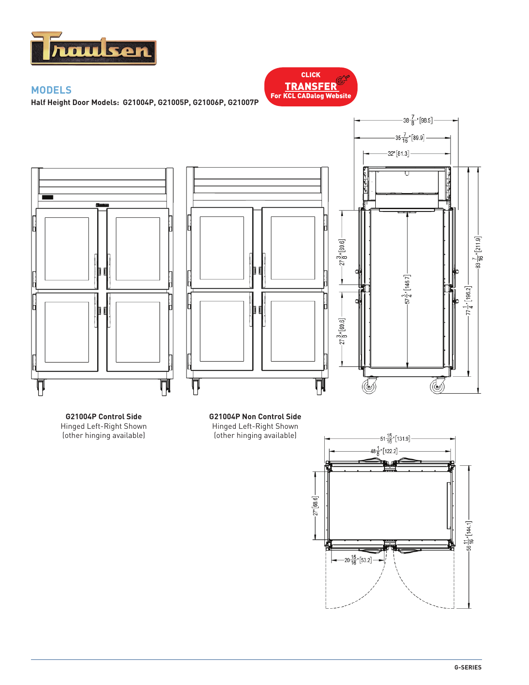

# **MODELS**

**Half Height Door Models: G21004P, G21005P, G21006P, G21007P**







# (other hinging available)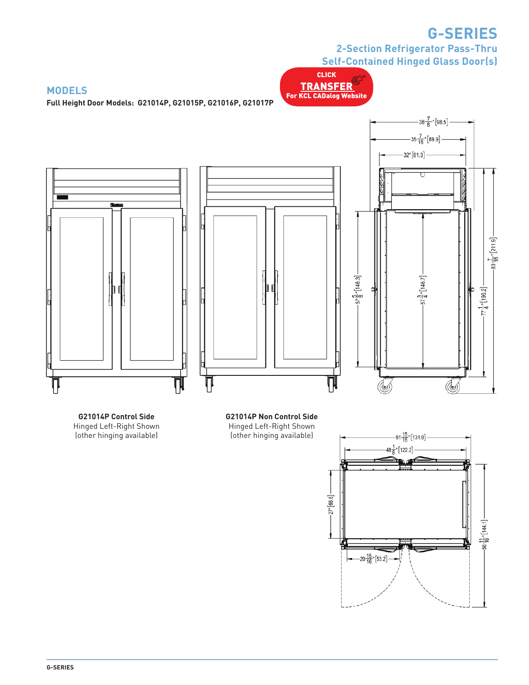# **G-SERIES**

**2-Section Refrigerator Pass-Thru Self-Contained Hinged Glass Door(s)**

CLICK TRANSFER For KCL CADalog Website

### **MODELS**

**Full Height Door Models: G21014P, G21015P, G21016P, G21017P**